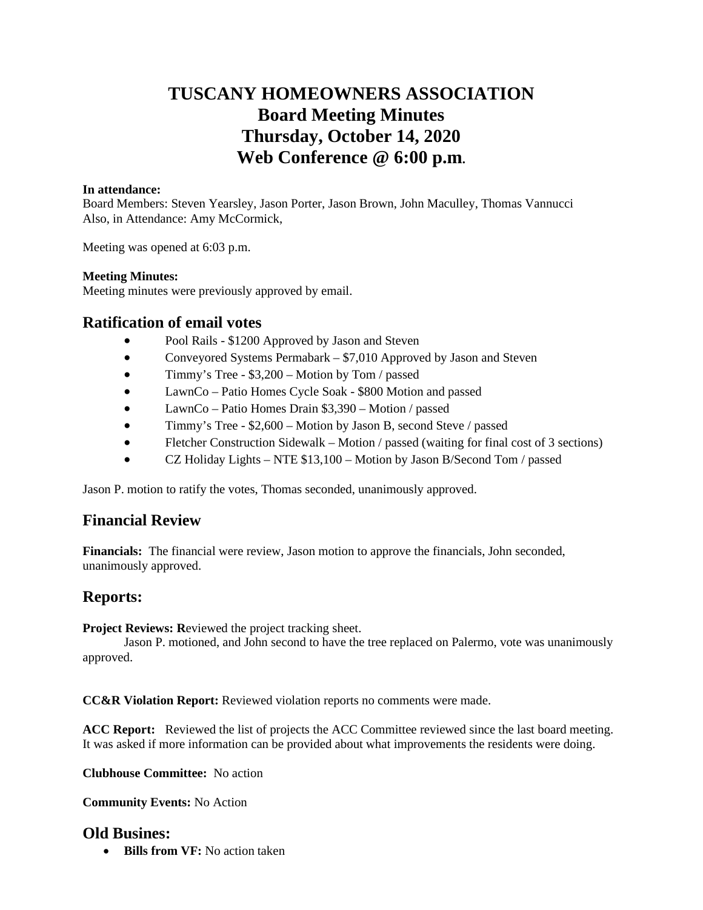# **TUSCANY HOMEOWNERS ASSOCIATION Board Meeting Minutes Thursday, October 14, 2020 Web Conference @ 6:00 p.m.**

### **In attendance:**

Board Members: Steven Yearsley, Jason Porter, Jason Brown, John Maculley, Thomas Vannucci Also, in Attendance: Amy McCormick,

Meeting was opened at 6:03 p.m.

### **Meeting Minutes:**

Meeting minutes were previously approved by email.

### **Ratification of email votes**

- Pool Rails \$1200 Approved by Jason and Steven
- Conveyored Systems Permabark \$7,010 Approved by Jason and Steven
- Timmy's Tree \$3,200 Motion by Tom / passed
- LawnCo Patio Homes Cycle Soak \$800 Motion and passed
- LawnCo Patio Homes Drain \$3,390 Motion / passed
- Timmy's Tree \$2,600 Motion by Jason B, second Steve / passed
- Fletcher Construction Sidewalk Motion / passed (waiting for final cost of 3 sections)
- CZ Holiday Lights NTE \$13,100 Motion by Jason B/Second Tom / passed

Jason P. motion to ratify the votes, Thomas seconded, unanimously approved.

# **Financial Review**

**Financials:** The financial were review, Jason motion to approve the financials, John seconded, unanimously approved.

# **Reports:**

**Project Reviews: Reviewed the project tracking sheet.** 

Jason P. motioned, and John second to have the tree replaced on Palermo, vote was unanimously approved.

**CC&R Violation Report:** Reviewed violation reports no comments were made.

**ACC Report:** Reviewed the list of projects the ACC Committee reviewed since the last board meeting. It was asked if more information can be provided about what improvements the residents were doing.

**Clubhouse Committee:** No action

**Community Events:** No Action

### **Old Busines:**

**• Bills from VF:** No action taken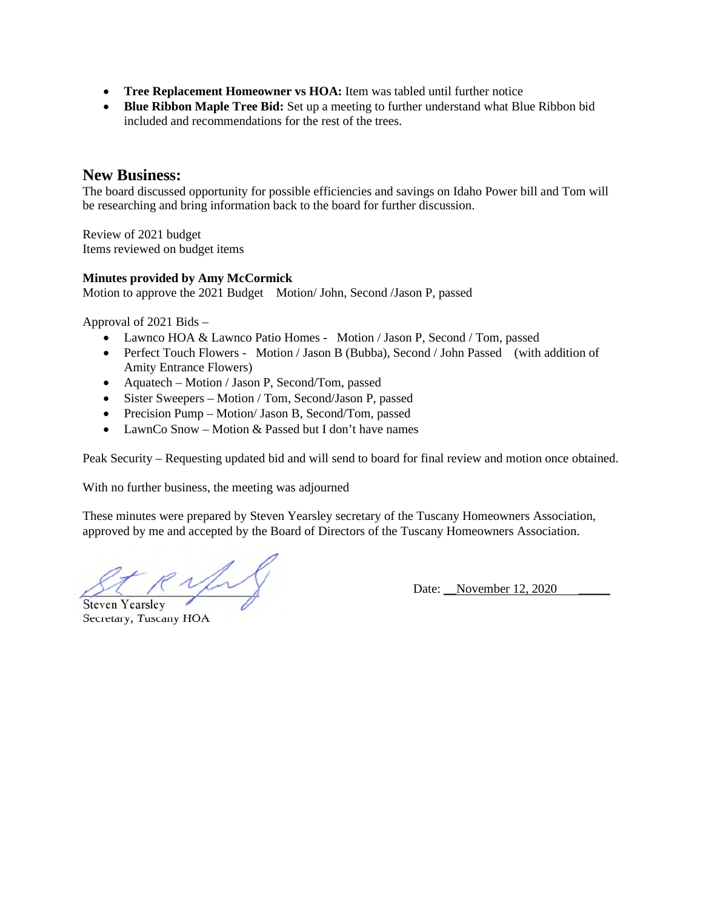- **Tree Replacement Homeowner vs HOA:** Item was tabled until further notice
- **Blue Ribbon Maple Tree Bid:** Set up a meeting to further understand what Blue Ribbon bid included and recommendations for the rest of the trees.

### **New Business:**

The board discussed opportunity for possible efficiencies and savings on Idaho Power bill and Tom will be researching and bring information back to the board for further discussion.

Review of 2021 budget Items reviewed on budget items

### **Minutes provided by Amy McCormick**

Motion to approve the 2021 Budget Motion/ John, Second /Jason P, passed

Approval of 2021 Bids –

- Lawnco HOA & Lawnco Patio Homes Motion / Jason P, Second / Tom, passed
- Perfect Touch Flowers Motion / Jason B (Bubba), Second / John Passed (with addition of Amity Entrance Flowers)
- Aquatech Motion / Jason P, Second/Tom, passed
- Sister Sweepers Motion / Tom, Second/Jason P, passed
- Precision Pump Motion/ Jason B, Second/Tom, passed
- LawnCo Snow Motion & Passed but I don't have names

Peak Security – Requesting updated bid and will send to board for final review and motion once obtained.

With no further business, the meeting was adjourned

These minutes were prepared by Steven Yearsley secretary of the Tuscany Homeowners Association, approved by me and accepted by the Board of Directors of the Tuscany Homeowners Association.

\_\_\_\_\_\_\_\_\_\_\_\_\_\_\_\_\_\_\_\_\_\_\_\_\_\_\_\_ Date: \_\_November 12, 2020 \_\_\_\_\_ Steven Yearsley

Secretary, Tuscany HOA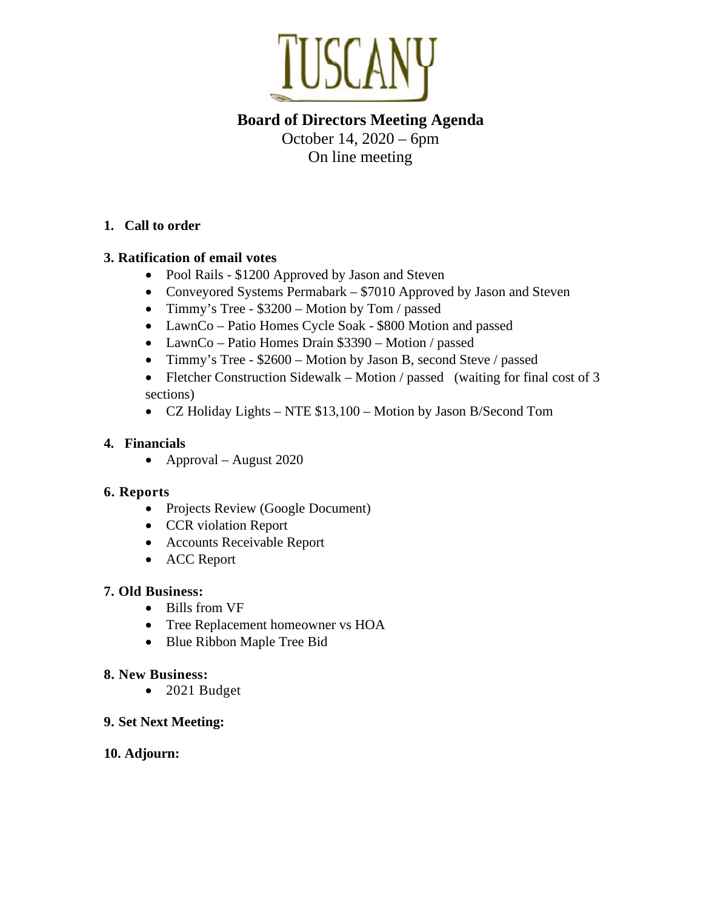

# **Board of Directors Meeting Agenda**  October 14, 2020 – 6pm On line meeting

# **1. Call to order**

# **3. Ratification of email votes**

- Pool Rails \$1200 Approved by Jason and Steven
- Conveyored Systems Permabark \$7010 Approved by Jason and Steven
- Timmy's Tree \$3200 Motion by Tom / passed
- LawnCo Patio Homes Cycle Soak \$800 Motion and passed
- LawnCo Patio Homes Drain \$3390 Motion / passed
- Timmy's Tree \$2600 Motion by Jason B, second Steve / passed
- Fletcher Construction Sidewalk Motion / passed (waiting for final cost of 3 sections)
- CZ Holiday Lights NTE \$13,100 Motion by Jason B/Second Tom

# **4. Financials**

• Approval – August 2020

# **6. Reports**

- Projects Review (Google Document)
- CCR violation Report
- Accounts Receivable Report
- ACC Report

# **7. Old Business:**

- Bills from VF
- Tree Replacement homeowner vs HOA
- Blue Ribbon Maple Tree Bid

# **8. New Business:**

• 2021 Budget

# **9. Set Next Meeting:**

# **10. Adjourn:**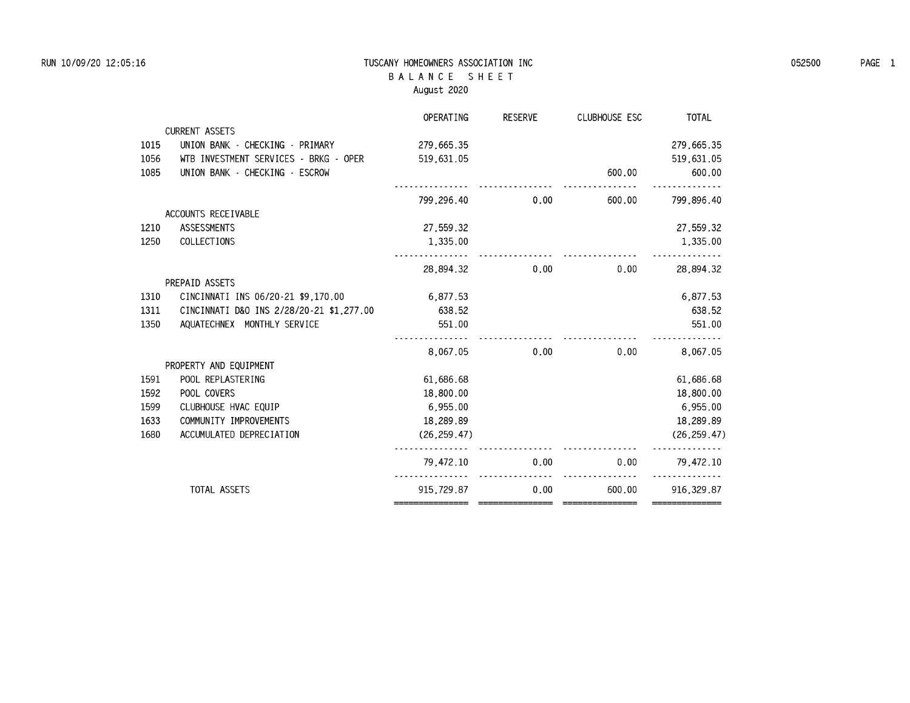### **RUN 10/09/20 12:05:16 TUSCANY HOMEOWNERS ASSOCIATION INC 052500 PAGE 1 B A L A N C E S H E E T August 2020**

|      |                                          | OPERATING     | <b>RESERVE</b> | <b>CLUBHOUSE ESC</b> | <b>TOTAL</b> |
|------|------------------------------------------|---------------|----------------|----------------------|--------------|
|      | <b>CURRENT ASSETS</b>                    |               |                |                      |              |
| 1015 | UNION BANK - CHECKING - PRIMARY          | 279,665.35    |                |                      | 279,665.35   |
| 1056 | WTB INVESTMENT SERVICES - BRKG - OPER    | 519,631.05    |                |                      | 519,631.05   |
| 1085 | UNION BANK - CHECKING - ESCROW           |               |                | 600.00               | 600.00       |
|      |                                          | 799.296.40    | 0.00           | 600.00               | 799.896.40   |
|      | ACCOUNTS RECEIVABLE                      |               |                |                      |              |
| 1210 | ASSESSMENTS                              | 27,559.32     |                |                      | 27.559.32    |
| 1250 | COLLECTIONS                              | 1,335,00      |                |                      | 1,335.00     |
|      |                                          | 28,894.32     | 0.00           | 0.00                 | 28,894.32    |
|      | PREPAID ASSETS                           |               |                |                      |              |
| 1310 | CINCINNATI INS 06/20-21 \$9.170.00       | 6.877.53      |                |                      | 6.877.53     |
| 1311 | CINCINNATI D&O INS 2/28/20-21 \$1,277.00 | 638.52        |                |                      | 638.52       |
| 1350 | AQUATECHNEX MONTHLY SERVICE              | 551.00        |                |                      | 551.00       |
|      |                                          | 8.067.05      | 0.00           | 0.00                 | 8.067.05     |
|      | PROPERTY AND EQUIPMENT                   |               |                |                      |              |
| 1591 | POOL REPLASTERING                        | 61,686.68     |                |                      | 61,686.68    |
| 1592 | POOL COVERS                              | 18,800.00     |                |                      | 18,800.00    |
| 1599 | CLUBHOUSE HVAC EQUIP                     | 6.955.00      |                |                      | 6.955.00     |
| 1633 | COMMUNITY IMPROVEMENTS                   | 18,289.89     |                |                      | 18,289.89    |
| 1680 | ACCUMULATED DEPRECIATION                 | (26, 259, 47) |                |                      | (26, 259.47) |
|      |                                          | 79.472.10     | 0.00           | 0.00                 | 79.472.10    |
|      | TOTAL ASSETS                             | 915.729.87    | 0.00           | 600.00               | 916, 329.87  |
|      |                                          |               |                |                      |              |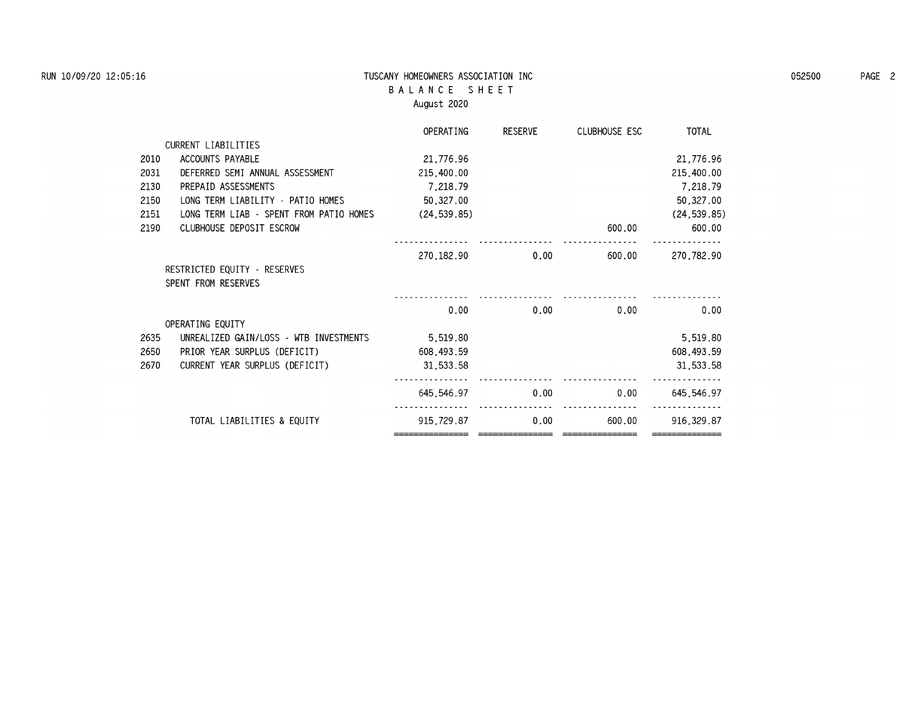### **RUN 10/09/20 12:05:16 TUSCANY HOMEOWNERS ASSOCIATION INC 052500 PAGE 2 B A L A N C E S H E E T August 2020**

|      |                                         | <b>OPERATING</b> | <b>RESERVE</b> | CLUBHOUSE ESC | <b>TOTAL</b> |
|------|-----------------------------------------|------------------|----------------|---------------|--------------|
|      | CURRENT LIABILITIES                     |                  |                |               |              |
| 2010 | ACCOUNTS PAYABLE                        | 21,776.96        |                |               | 21,776.96    |
| 2031 | DEFERRED SEMI ANNUAL ASSESSMENT         | 215,400.00       |                |               | 215,400.00   |
| 2130 | PREPAID ASSESSMENTS                     | 7,218.79         |                |               | 7,218.79     |
| 2150 | LONG TERM LIABILITY - PATIO HOMES       | 50,327.00        |                |               | 50,327.00    |
| 2151 | LONG TERM LIAB - SPENT FROM PATIO HOMES | (24, 539, 85)    |                |               | (24, 539.85) |
| 2190 | CLUBHOUSE DEPOSIT ESCROW                |                  |                | 600.00        | 600.00       |
|      |                                         | 270, 182, 90     | 0.00           | 600.00        | 270,782.90   |
|      | RESTRICTED EQUITY - RESERVES            |                  |                |               |              |
|      | SPENT FROM RESERVES                     |                  |                |               |              |
|      |                                         |                  |                |               |              |
|      |                                         | 0.00             | 0.00           | 0.00          | 0.00         |
|      | OPERATING EQUITY                        |                  |                |               |              |
| 2635 | UNREALIZED GAIN/LOSS - WTB INVESTMENTS  | 5,519.80         |                |               | 5,519.80     |
| 2650 | PRIOR YEAR SURPLUS (DEFICIT)            | 608, 493, 59     |                |               | 608,493.59   |
| 2670 | CURRENT YEAR SURPLUS (DEFICIT)          | 31,533.58        |                |               | 31,533.58    |
|      |                                         | 645.546.97       | 0.00           | 0.00          | 645.546.97   |
|      | TOTAL LIABILITIES & EQUITY              | 915,729.87       | 0.00           | 600.00        | 916, 329, 87 |
|      |                                         |                  |                |               |              |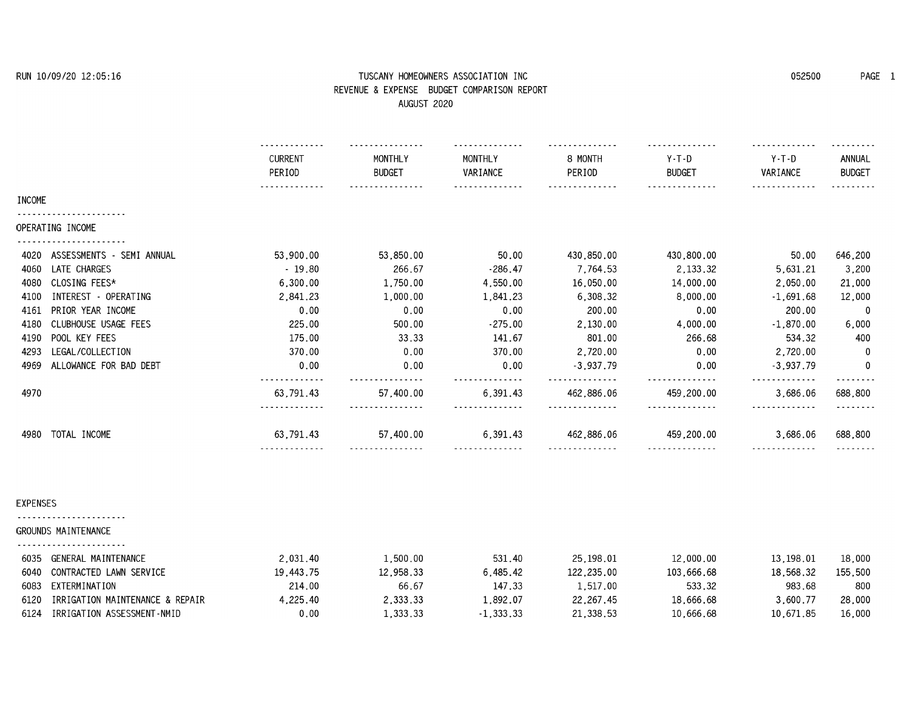# **RUN 10/09/20 12:05:16 TUSCANY HOMEOWNERS ASSOCIATION INC 052500 PAGE 1 REVENUE & EXPENSE BUDGET COMPARISON REPORT**

|                                   | AUGUSI 2020                |                          |                     |                         |                          |                     |                         |  |
|-----------------------------------|----------------------------|--------------------------|---------------------|-------------------------|--------------------------|---------------------|-------------------------|--|
|                                   | <b>CURRENT</b><br>PERIOD   | MONTHLY<br><b>BUDGET</b> | MONTHLY<br>VARIANCE | 8 MONTH<br>PERIOD       | $Y-T-D$<br><b>BUDGET</b> | $Y-T-D$<br>VARIANCE | ANNUAL<br><b>BUDGET</b> |  |
| <b>INCOME</b>                     | .                          |                          |                     |                         | .                        | .                   | .                       |  |
| OPERATING INCOME                  |                            |                          |                     |                         |                          |                     |                         |  |
| ASSESSMENTS - SEMI ANNUAL<br>4020 | 53,900.00                  | 53,850.00                | 50.00               | 430,850.00              | 430,800.00               | 50.00               | 646,200                 |  |
| LATE CHARGES<br>4060              | $-19.80$                   | 266.67                   | $-286.47$           | 7,764.53                | 2,133.32                 | 5,631.21            | 3,200                   |  |
| CLOSING FEES*<br>4080             | 6,300.00                   | 1,750.00                 | 4,550.00            | 16,050.00               | 14,000.00                | 2,050.00            | 21,000                  |  |
| INTEREST - OPERATING<br>4100      | 2,841.23                   | 1,000.00                 | 1,841.23            | 6,308.32                | 8,000.00                 | $-1.691.68$         | 12,000                  |  |
| PRIOR YEAR INCOME<br>4161         | 0.00                       | 0.00                     | 0.00                | 200.00                  | 0.00                     | 200.00              | 0                       |  |
| CLUBHOUSE USAGE FEES<br>4180      | 225.00                     | 500.00                   | $-275.00$           | 2,130.00                | 4,000.00                 | $-1,870.00$         | 6,000                   |  |
| POOL KEY FEES<br>4190             | 175.00                     | 33.33                    | 141.67              | 801.00                  | 266.68                   | 534.32              | 400                     |  |
| LEGAL/COLLECTION<br>4293          | 370.00                     | 0.00                     | 370.00              | 2,720.00                | 0.00                     | 2,720.00            | -0                      |  |
| ALLOWANCE FOR BAD DEBT<br>4969    | 0.00                       | 0.00                     | 0.00                | $-3,937.79$<br><u>.</u> | 0.00                     | $-3,937.79$         | $\mathbf{0}$            |  |
| 4970                              | .<br>63,791.43<br><u>.</u> | 57,400.00<br>.           | 6,391.43<br>.       | 462,886.06<br>.         | .<br>459,200.00<br>.     | 3,686.06<br>.       | .<br>688,800<br>.       |  |
| TOTAL INCOME<br>4980              | 63,791.43                  | 57,400.00                | 6,391.43            | 462,886.06              | 459,200.00               | 3,686.06            | 688,800                 |  |
| EXPENSES                          |                            |                          |                     |                         |                          |                     |                         |  |
| GROUNDS MAINTENANCE               |                            |                          |                     |                         |                          |                     |                         |  |
| 6035 GENERAL MAINTENANCE          | 2.031.40                   | 1,500.00                 | 531.40              | 25,198,01               | 12,000.00                | 13,198.01           | 18,000                  |  |

| 2.031.40                                                                                                                                                                          | .500.00   | 531.40      | 25.198.01   | 12,000.00  | 13.198.01 | 18,000  |
|-----------------------------------------------------------------------------------------------------------------------------------------------------------------------------------|-----------|-------------|-------------|------------|-----------|---------|
| 19.443.75                                                                                                                                                                         | 12.958.33 | 6.485.42    | 122.235.00  | 103.666.68 | 18.568.32 | 155.500 |
| 214.00                                                                                                                                                                            | 66.67     | 147.33      | L.517.00    | 533.32     | 983.68    | 800     |
| 4.225.40                                                                                                                                                                          | 2.333.33  | .892.07     | 22, 267, 45 | 18,666.68  | 3.600.77  | 28,000  |
| 0.00                                                                                                                                                                              | 1.333.33  | $-1.333.33$ | 21,338,53   | 10.666.68  | 10.671.85 | 16,000  |
| ----------------------<br>GENERAL MAINTENANCE<br>6035<br>6040 CONTRACTED LAWN SERVICE<br>6083 EXTERMINATION<br>IRRIGATION MAINTENANCE & REPAIR<br>6124 IRRIGATION ASSESSMENT-NMID |           |             |             |            |           |         |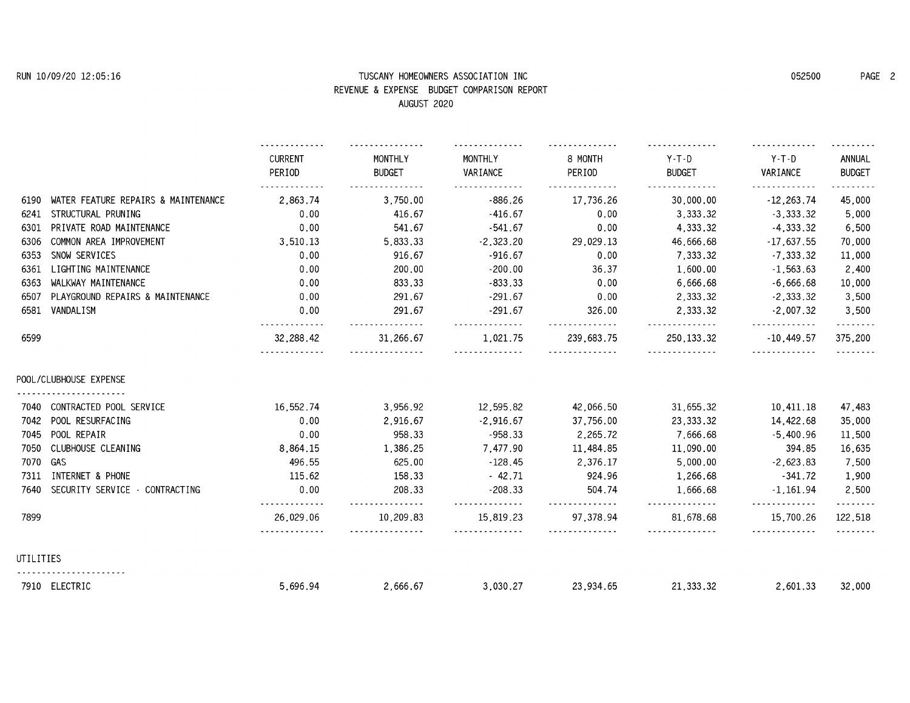# **RUN 10/09/20 12:05:16 TUSCANY HOMEOWNERS ASSOCIATION INC 052500 PAGE 2 REVENUE & EXPENSE BUDGET COMPARISON REPORT**

|           |                                     |                            | AUGUSI 2020              |                     |                     |                          |                     |                         |
|-----------|-------------------------------------|----------------------------|--------------------------|---------------------|---------------------|--------------------------|---------------------|-------------------------|
|           |                                     | <b>CURRENT</b><br>PERIOD   | MONTHLY<br><b>BUDGET</b> | MONTHLY<br>VARIANCE | 8 MONTH<br>PERIOD   | $Y-T-D$<br><b>BUDGET</b> | $Y-T-D$<br>VARIANCE | ANNUAL<br><b>BUDGET</b> |
| 6190      | WATER FEATURE REPAIRS & MAINTENANCE | 2.863.74                   | 3.750.00                 | $-886.26$           | 17.736.26           | 30,000.00                | $-12.263.74$        | <u>.</u><br>45,000      |
| 6241      | STRUCTURAL PRUNING                  | 0.00                       | 416.67                   | $-416.67$           | 0.00                | 3.333.32                 | $-3.333.32$         | 5,000                   |
| 6301      | PRIVATE ROAD MAINTENANCE            | 0.00                       | 541.67                   | $-541.67$           | 0.00                | 4,333.32                 | $-4,333.32$         | 6,500                   |
| 6306      | COMMON AREA IMPROVEMENT             | 3.510.13                   | 5,833.33                 | $-2,323,20$         | 29,029.13           | 46,666.68                | $-17,637,55$        | 70,000                  |
| 6353      | SNOW SERVICES                       | 0.00                       | 916.67                   | $-916.67$           | 0.00                | 7.333.32                 | $-7.333.32$         | 11,000                  |
| 6361      | LIGHTING MAINTENANCE                | 0.00                       | 200.00                   | $-200.00$           | 36.37               | 1,600.00                 | $-1,563.63$         | 2,400                   |
| 6363      | WALKWAY MAINTENANCE                 | 0.00                       | 833.33                   | $-833.33$           | 0.00                | 6,666.68                 | $-6,666.68$         | 10,000                  |
| 6507      | PLAYGROUND REPAIRS & MAINTENANCE    | 0.00                       | 291.67                   | $-291.67$           | 0.00                | 2,333.32                 | $-2,333.32$         | 3,500                   |
| 6581      | VANDALISM                           | 0.00                       | 291.67                   | $-291.67$<br>.      | 326.00              | 2,333.32<br>.            | $-2,007.32$         | 3,500                   |
| 6599      |                                     | 32,288,42                  | 31,266.67                | 1.021.75            | .<br>239,683.75     | 250, 133, 32             | .<br>$-10,449,57$   | .<br>375,200            |
|           | POOL/CLUBHOUSE EXPENSE              |                            |                          |                     |                     |                          |                     |                         |
| 7040      | CONTRACTED POOL SERVICE             | 16.552.74                  | 3.956.92                 | 12,595.82           | 42.066.50           | 31,655.32                | 10.411.18           | 47,483                  |
| 7042      | POOL RESURFACING                    | 0.00                       | 2,916.67                 | $-2,916.67$         | 37,756.00           | 23, 333. 32              | 14,422.68           | 35,000                  |
| 7045      | POOL REPAIR                         | 0.00                       | 958.33                   | $-958.33$           | 2,265.72            | 7,666.68                 | $-5,400.96$         | 11,500                  |
| 7050      | CLUBHOUSE CLEANING                  | 8,864.15                   | 1,386.25                 | 7,477.90            | 11,484.85           | 11,090.00                | 394.85              | 16,635                  |
| 7070      | GAS                                 | 496.55                     | 625.00                   | $-128.45$           | 2,376.17            | 5,000.00                 | $-2,623.83$         | 7,500                   |
| 7311      | INTERNET & PHONE                    | 115.62                     | 158.33                   | $-42.71$            | 924.96              | 1,266.68                 | -341.72             | 1,900                   |
| 7640      | SECURITY SERVICE - CONTRACTING      | 0.00                       | 208.33<br>.              | $-208.33$           | 504.74              | 1.666.68                 | $-1.161.94$<br>.    | 2,500                   |
| 7899      |                                     | .<br>26.029.06<br><u>.</u> | 10.209.83<br>.           | .<br>15.819.23<br>. | .<br>97.378.94<br>. | .<br>81.678.68<br>.      | 15.700.26<br>.      | .<br>122,518<br>.       |
| UTILITIES |                                     |                            |                          |                     |                     |                          |                     |                         |
|           | 7910 ELECTRIC                       | 5.696.94                   | 2,666.67                 | 3.030.27            | 23.934.65           | 21.333.32                | 2.601.33            | 32,000                  |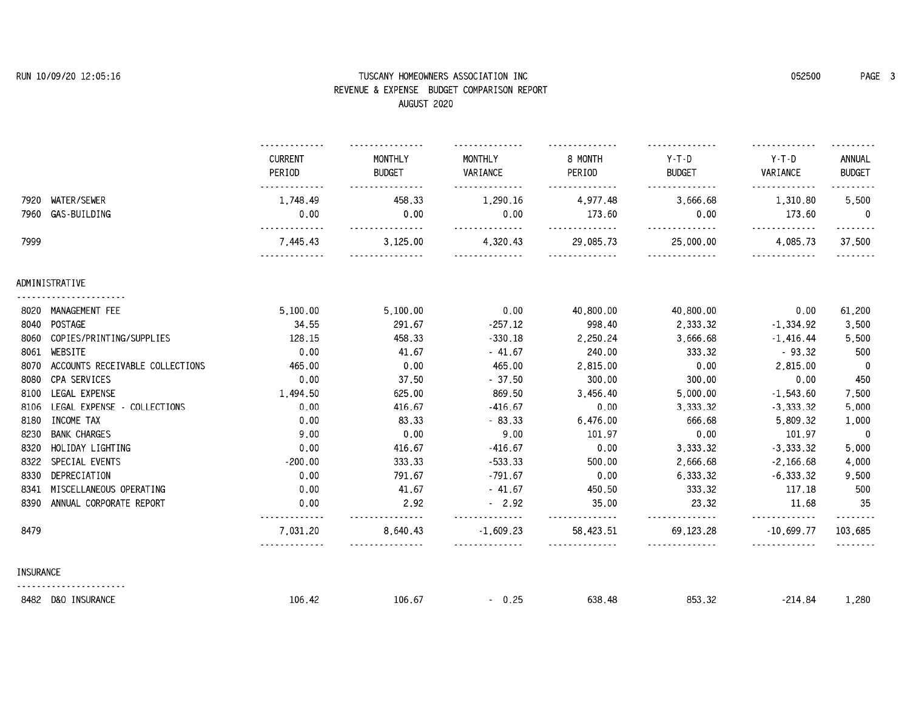# **RUN 10/09/20 12:05:16 TUSCANY HOMEOWNERS ASSOCIATION INC 052500 PAGE 3 REVENUE & EXPENSE BUDGET COMPARISON REPORT**

|                  | AUGUSI 2020                     |                          |                          |                     |                   |                        |                     |                         |
|------------------|---------------------------------|--------------------------|--------------------------|---------------------|-------------------|------------------------|---------------------|-------------------------|
|                  |                                 | <b>CURRENT</b><br>PERIOD | MONTHLY<br><b>BUDGET</b> | MONTHLY<br>VARIANCE | 8 MONTH<br>PERIOD | Y-T-D<br><b>BUDGET</b> | $Y-T-D$<br>VARIANCE | ANNUAL<br><b>BUDGET</b> |
| 7920             | WATER/SEWER                     | 1.748.49                 | 458.33                   | 1.290.16            | 4.977.48          | 3.666.68               | 1.310.80            | 5.500                   |
| 7960             | GAS-BUILDING                    | 0.00                     | 0.00                     | 0.00                | 173.60            | 0.00                   | 173.60              | $\mathbf{0}$            |
| 7999             |                                 | 7.445.43                 | 3.125.00                 | 4.320.43            | 29.085.73         | 25,000.00              | 4.085.73            | 37.500                  |
|                  | ADMINISTRATIVE                  |                          |                          |                     |                   |                        |                     |                         |
|                  | 8020 MANAGEMENT FEE             | 5,100.00                 | 5,100.00                 | 0.00                | 40,800.00         | 40,800.00              | 0.00                | 61,200                  |
|                  | 8040 POSTAGE                    | 34.55                    | 291.67                   | $-257.12$           | 998.40            | 2,333.32               | $-1,334.92$         | 3,500                   |
| 8060             | COPIES/PRINTING/SUPPLIES        | 128.15                   | 458.33                   | $-330.18$           | 2,250.24          | 3,666.68               | $-1,416.44$         | 5,500                   |
| 8061             | WEBSITE                         | 0.00                     | 41.67                    | $-41.67$            | 240.00            | 333.32                 | $-93.32$            | 500                     |
| 8070             | ACCOUNTS RECEIVABLE COLLECTIONS | 465.00                   | 0.00                     | 465.00              | 2,815.00          | 0.00                   | 2.815.00            | 0                       |
| 8080             | CPA SERVICES                    | 0.00                     | 37.50                    | $-37.50$            | 300.00            | 300.00                 | 0.00                | 450                     |
| 8100             | LEGAL EXPENSE                   | 1,494.50                 | 625.00                   | 869.50              | 3,456.40          | 5,000.00               | $-1,543.60$         | 7,500                   |
| 8106             | LEGAL EXPENSE - COLLECTIONS     | 0.00                     | 416.67                   | $-416.67$           | 0.00              | 3,333.32               | $-3,333,32$         | 5,000                   |
| 8180             | INCOME TAX                      | 0.00                     | 83.33                    | $-83.33$            | 6,476.00          | 666.68                 | 5,809.32            | 1,000                   |
| 8230             | <b>BANK CHARGES</b>             | 9.00                     | 0.00                     | 9.00                | 101.97            | 0.00                   | 101.97              | 0                       |
| 8320             | HOLIDAY LIGHTING                | 0.00                     | 416.67                   | $-416.67$           | 0.00              | 3,333.32               | $-3,333.32$         | 5,000                   |
| 8322             | SPECIAL EVENTS                  | $-200.00$                | 333.33                   | $-533.33$           | 500.00            | 2,666.68               | $-2,166.68$         | 4,000                   |
| 8330             | DEPRECIATION                    | 0.00                     | 791.67                   | $-791.67$           | 0.00              | 6,333.32               | $-6,333.32$         | 9,500                   |
| 8341             | MISCELLANEOUS OPERATING         | 0.00                     | 41.67                    | $-41.67$            | 450.50            | 333.32                 | 117.18              | 500                     |
| 8390             | ANNUAL CORPORATE REPORT         | 0.00                     | 2.92                     | $-2.92$             | 35.00             | 23.32<br>.             | 11.68<br>.          | -35                     |
| 8479             |                                 | 7,031.20                 | 8,640.43                 | $-1.609.23$         | 58.423.51         | 69, 123, 28            | $-10,699.77$        | 103,685                 |
| <b>INSURANCE</b> |                                 |                          |                          |                     |                   |                        |                     |                         |
|                  | 8482 D&O INSURANCE              | 106.42                   | 106.67                   | $-0.25$             | 638.48            | 853.32                 | $-214.84$           | 1,280                   |